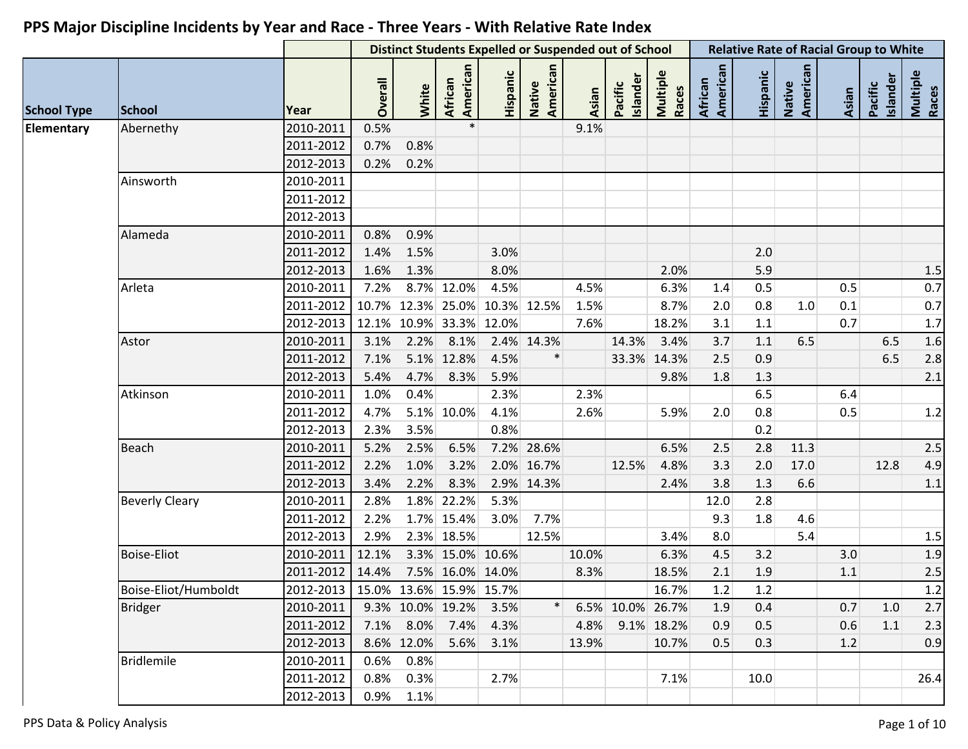|                    |                       |                                     |         | <b>Distinct Students Expelled or Suspended out of School</b> |                     |          |                    |       |                     | <b>Relative Rate of Racial Group to White</b> |                     |          |                    |       |                            |                   |
|--------------------|-----------------------|-------------------------------------|---------|--------------------------------------------------------------|---------------------|----------|--------------------|-------|---------------------|-----------------------------------------------|---------------------|----------|--------------------|-------|----------------------------|-------------------|
| <b>School Type</b> | <b>School</b>         | Year                                | Overall | White                                                        | American<br>African | Hispanic | American<br>Native | Asian | Islander<br>Pacific | Multiple<br>Races                             | American<br>African | Hispanic | American<br>Native | Asian | <b>Islander</b><br>Pacific | Multiple<br>Races |
| Elementary         | Abernethy             | 2010-2011                           | 0.5%    |                                                              |                     |          |                    | 9.1%  |                     |                                               |                     |          |                    |       |                            |                   |
|                    |                       | 2011-2012                           | 0.7%    | 0.8%                                                         |                     |          |                    |       |                     |                                               |                     |          |                    |       |                            |                   |
|                    |                       | 2012-2013                           | 0.2%    | 0.2%                                                         |                     |          |                    |       |                     |                                               |                     |          |                    |       |                            |                   |
|                    | Ainsworth             | 2010-2011                           |         |                                                              |                     |          |                    |       |                     |                                               |                     |          |                    |       |                            |                   |
|                    |                       | 2011-2012                           |         |                                                              |                     |          |                    |       |                     |                                               |                     |          |                    |       |                            |                   |
|                    |                       | 2012-2013                           |         |                                                              |                     |          |                    |       |                     |                                               |                     |          |                    |       |                            |                   |
|                    | Alameda               | 2010-2011                           | 0.8%    | 0.9%                                                         |                     |          |                    |       |                     |                                               |                     |          |                    |       |                            |                   |
|                    |                       | 2011-2012                           | 1.4%    | 1.5%                                                         |                     | 3.0%     |                    |       |                     |                                               |                     | 2.0      |                    |       |                            |                   |
|                    |                       | 2012-2013                           | 1.6%    | 1.3%                                                         |                     | 8.0%     |                    |       |                     | 2.0%                                          |                     | 5.9      |                    |       |                            | 1.5               |
|                    | Arleta                | 2010-2011                           | 7.2%    |                                                              | 8.7% 12.0%          | 4.5%     |                    | 4.5%  |                     | 6.3%                                          | 1.4                 | 0.5      |                    | 0.5   |                            | 0.7               |
|                    |                       | 2011-2012                           |         | 10.7% 12.3% 25.0% 10.3% 12.5%                                |                     |          |                    | 1.5%  |                     | 8.7%                                          | 2.0                 | 0.8      | 1.0                | 0.1   |                            | 0.7               |
|                    |                       | 2012-2013                           |         | 12.1% 10.9% 33.3% 12.0%                                      |                     |          |                    | 7.6%  |                     | 18.2%                                         | 3.1                 | 1.1      |                    | 0.7   |                            | 1.7               |
|                    | Astor                 | 2010-2011                           | 3.1%    | 2.2%                                                         | 8.1%                |          | 2.4% 14.3%         |       | 14.3%               | 3.4%                                          | 3.7                 | 1.1      | 6.5                |       | 6.5                        | 1.6               |
|                    |                       | 2011-2012                           | 7.1%    |                                                              | 5.1% 12.8%          | 4.5%     |                    |       |                     | 33.3% 14.3%                                   | 2.5                 | 0.9      |                    |       | 6.5                        | 2.8               |
|                    |                       | 2012-2013                           | 5.4%    | 4.7%                                                         | 8.3%                | 5.9%     |                    |       |                     | 9.8%                                          | 1.8                 | 1.3      |                    |       |                            | 2.1               |
|                    | Atkinson              | 2010-2011                           | 1.0%    | 0.4%                                                         |                     | 2.3%     |                    | 2.3%  |                     |                                               |                     | 6.5      |                    | 6.4   |                            |                   |
|                    |                       | 2011-2012                           | 4.7%    |                                                              | 5.1% 10.0%          | 4.1%     |                    | 2.6%  |                     | 5.9%                                          | 2.0                 | 0.8      |                    | 0.5   |                            | 1.2               |
|                    |                       | 2012-2013                           | 2.3%    | 3.5%                                                         |                     | 0.8%     |                    |       |                     |                                               |                     | 0.2      |                    |       |                            |                   |
|                    | <b>Beach</b>          | 2010-2011                           | 5.2%    | 2.5%                                                         | 6.5%                |          | 7.2% 28.6%         |       |                     | 6.5%                                          | 2.5                 | 2.8      | 11.3               |       |                            | 2.5               |
|                    |                       | 2011-2012                           | 2.2%    | 1.0%                                                         | 3.2%                |          | 2.0% 16.7%         |       | 12.5%               | 4.8%                                          | 3.3                 | 2.0      | 17.0               |       | 12.8                       | 4.9               |
|                    |                       | 2012-2013                           | 3.4%    | 2.2%                                                         | 8.3%                |          | 2.9% 14.3%         |       |                     | 2.4%                                          | 3.8                 | 1.3      | 6.6                |       |                            | 1.1               |
|                    | <b>Beverly Cleary</b> | 2010-2011                           | 2.8%    |                                                              | 1.8% 22.2%          | 5.3%     |                    |       |                     |                                               | 12.0                | 2.8      |                    |       |                            |                   |
|                    |                       | 2011-2012                           | 2.2%    |                                                              | 1.7% 15.4%          | 3.0%     | 7.7%               |       |                     |                                               | 9.3                 | $1.8\,$  | 4.6                |       |                            |                   |
|                    |                       | 2012-2013                           | 2.9%    |                                                              | 2.3% 18.5%          |          | 12.5%              |       |                     | 3.4%                                          | 8.0                 |          | 5.4                |       |                            | 1.5               |
|                    | <b>Boise-Eliot</b>    | 2010-2011                           | 12.1%   |                                                              | 3.3% 15.0% 10.6%    |          |                    | 10.0% |                     | 6.3%                                          | 4.5                 | 3.2      |                    | 3.0   |                            | 1.9               |
|                    |                       | 2011-2012                           | 14.4%   |                                                              | 7.5% 16.0% 14.0%    |          |                    | 8.3%  |                     | 18.5%                                         | 2.1                 | 1.9      |                    | 1.1   |                            | 2.5               |
|                    | Boise-Eliot/Humboldt  | 2012-2013   15.0% 13.6% 15.9% 15.7% |         |                                                              |                     |          |                    |       |                     | 16.7%                                         | 1.2                 | 1.2      |                    |       |                            | 1.2               |
|                    | <b>Bridger</b>        | 2010-2011                           |         | 9.3% 10.0% 19.2%                                             |                     | 3.5%     |                    |       | 6.5% 10.0% 26.7%    |                                               | 1.9                 | 0.4      |                    | 0.7   | 1.0                        | 2.7               |
|                    |                       | 2011-2012                           |         | 7.1% 8.0% 7.4%                                               |                     | 4.3%     |                    |       | 4.8% 9.1% 18.2%     |                                               | 0.9                 | 0.5      |                    | 0.6   | 1.1                        | 2.3               |
|                    |                       | 2012-2013                           |         | 8.6% 12.0%                                                   | 5.6%                | 3.1%     |                    | 13.9% |                     | 10.7%                                         | 0.5                 | 0.3      |                    | 1.2   |                            | 0.9               |
|                    | Bridlemile            | 2010-2011                           | 0.6%    | 0.8%                                                         |                     |          |                    |       |                     |                                               |                     |          |                    |       |                            |                   |
|                    |                       | 2011-2012                           | 0.8%    | 0.3%                                                         |                     | 2.7%     |                    |       |                     | 7.1%                                          |                     | 10.0     |                    |       |                            | 26.4              |
|                    |                       | 2012-2013                           |         | $0.9\%$ 1.1%                                                 |                     |          |                    |       |                     |                                               |                     |          |                    |       |                            |                   |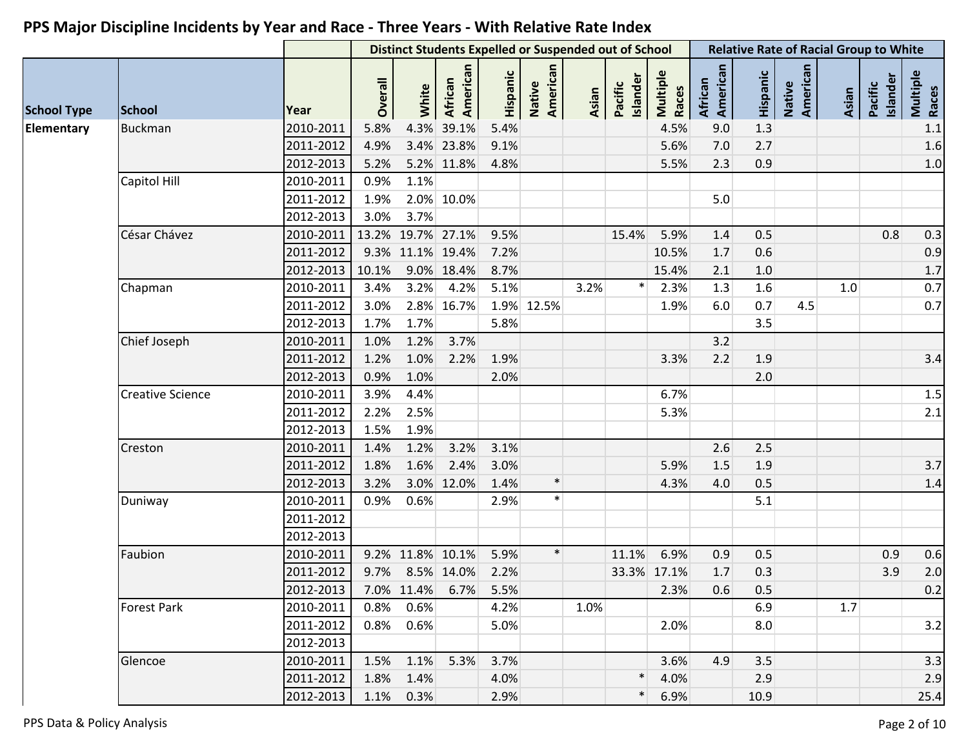| Native<br>American<br>American<br>Native<br>American<br>American<br>Hispanic<br>Hispanic<br>Multiple<br>Races<br>Islander<br>Islander<br>African<br><b>African</b><br>Overall<br>Pacific<br>Pacific<br>White<br>Asian<br>Asian<br><b>School Type</b><br>Year<br><b>School</b><br>Elementary<br>4.3%<br>39.1%<br>9.0<br>1.3<br><b>Buckman</b><br>2010-2011<br>5.8%<br>5.4%<br>4.5%<br>4.9%<br>3.4% 23.8%<br>9.1%<br>5.6%<br>7.0<br>2011-2012<br>2.7<br>5.2% 11.8%<br>2.3<br>0.9<br>5.2%<br>4.8%<br>5.5%<br>2012-2013<br>Capitol Hill<br>2010-2011<br>1.1%<br>0.9%<br>2011-2012<br>1.9%<br>2.0% 10.0%<br>5.0<br>2012-2013<br>3.7%<br>3.0%<br>César Chávez<br>2010-2011<br>13.2% 19.7% 27.1%<br>0.8<br>9.5%<br>15.4%<br>5.9%<br>1.4<br>0.5 | <b>Relative Rate of Racial Group to White</b> |
|-----------------------------------------------------------------------------------------------------------------------------------------------------------------------------------------------------------------------------------------------------------------------------------------------------------------------------------------------------------------------------------------------------------------------------------------------------------------------------------------------------------------------------------------------------------------------------------------------------------------------------------------------------------------------------------------------------------------------------------------|-----------------------------------------------|
|                                                                                                                                                                                                                                                                                                                                                                                                                                                                                                                                                                                                                                                                                                                                         | Multiple<br>Races                             |
|                                                                                                                                                                                                                                                                                                                                                                                                                                                                                                                                                                                                                                                                                                                                         | 1.1                                           |
|                                                                                                                                                                                                                                                                                                                                                                                                                                                                                                                                                                                                                                                                                                                                         | 1.6                                           |
|                                                                                                                                                                                                                                                                                                                                                                                                                                                                                                                                                                                                                                                                                                                                         | $1.0$                                         |
|                                                                                                                                                                                                                                                                                                                                                                                                                                                                                                                                                                                                                                                                                                                                         |                                               |
|                                                                                                                                                                                                                                                                                                                                                                                                                                                                                                                                                                                                                                                                                                                                         |                                               |
|                                                                                                                                                                                                                                                                                                                                                                                                                                                                                                                                                                                                                                                                                                                                         |                                               |
|                                                                                                                                                                                                                                                                                                                                                                                                                                                                                                                                                                                                                                                                                                                                         | 0.3                                           |
| 9.3% 11.1% 19.4%<br>7.2%<br>0.6<br>2011-2012<br>10.5%<br>1.7                                                                                                                                                                                                                                                                                                                                                                                                                                                                                                                                                                                                                                                                            | 0.9                                           |
| 10.1%<br>9.0% 18.4%<br>8.7%<br>2012-2013<br>15.4%<br>2.1<br>1.0                                                                                                                                                                                                                                                                                                                                                                                                                                                                                                                                                                                                                                                                         | $1.7$                                         |
| $\ast$<br>3.2%<br>5.1%<br>1.6<br>2010-2011<br>3.4%<br>3.2%<br>2.3%<br>1.3<br>1.0<br>4.2%<br>Chapman                                                                                                                                                                                                                                                                                                                                                                                                                                                                                                                                                                                                                                     | 0.7                                           |
| 2.8% 16.7%<br>1.9% 12.5%<br>6.0<br>0.7<br>2011-2012<br>3.0%<br>1.9%<br>4.5                                                                                                                                                                                                                                                                                                                                                                                                                                                                                                                                                                                                                                                              | 0.7                                           |
| 2012-2013<br>3.5<br>1.7%<br>1.7%<br>5.8%                                                                                                                                                                                                                                                                                                                                                                                                                                                                                                                                                                                                                                                                                                |                                               |
| Chief Joseph<br>2010-2011<br>1.2%<br>3.7%<br>3.2<br>1.0%                                                                                                                                                                                                                                                                                                                                                                                                                                                                                                                                                                                                                                                                                |                                               |
| 2011-2012<br>1.0%<br>1.9%<br>2.2<br>1.9<br>1.2%<br>2.2%<br>3.3%                                                                                                                                                                                                                                                                                                                                                                                                                                                                                                                                                                                                                                                                         | 3.4                                           |
| 2012-2013<br>0.9%<br>1.0%<br>2.0%<br>2.0                                                                                                                                                                                                                                                                                                                                                                                                                                                                                                                                                                                                                                                                                                |                                               |
| <b>Creative Science</b><br>2010-2011<br>3.9%<br>4.4%<br>6.7%                                                                                                                                                                                                                                                                                                                                                                                                                                                                                                                                                                                                                                                                            | 1.5                                           |
| 2.5%<br>2011-2012<br>2.2%<br>5.3%                                                                                                                                                                                                                                                                                                                                                                                                                                                                                                                                                                                                                                                                                                       | $2.1$                                         |
| 1.5%<br>1.9%<br>2012-2013                                                                                                                                                                                                                                                                                                                                                                                                                                                                                                                                                                                                                                                                                                               |                                               |
| 2010-2011<br>1.4%<br>1.2%<br>3.2%<br>3.1%<br>2.6<br>2.5<br>Creston                                                                                                                                                                                                                                                                                                                                                                                                                                                                                                                                                                                                                                                                      |                                               |
| 1.6%<br>2.4%<br>3.0%<br>5.9%<br>2011-2012<br>1.8%<br>1.5<br>1.9                                                                                                                                                                                                                                                                                                                                                                                                                                                                                                                                                                                                                                                                         | 3.7                                           |
| $\ast$<br>3.0% 12.0%<br>1.4%<br>2012-2013<br>3.2%<br>4.3%<br>4.0<br>0.5                                                                                                                                                                                                                                                                                                                                                                                                                                                                                                                                                                                                                                                                 | 1.4                                           |
| $\ast$<br>2010-2011<br>0.9%<br>0.6%<br>5.1<br>Duniway<br>2.9%                                                                                                                                                                                                                                                                                                                                                                                                                                                                                                                                                                                                                                                                           |                                               |
| 2011-2012                                                                                                                                                                                                                                                                                                                                                                                                                                                                                                                                                                                                                                                                                                                               |                                               |
| 2012-2013                                                                                                                                                                                                                                                                                                                                                                                                                                                                                                                                                                                                                                                                                                                               |                                               |
| $\ast$<br>Faubion<br>2010-2011<br>9.2% 11.8% 10.1%<br>5.9%<br>11.1%<br>0.9<br>0.5<br>0.9<br>6.9%                                                                                                                                                                                                                                                                                                                                                                                                                                                                                                                                                                                                                                        | 0.6                                           |
| 2011-2012<br>9.7% 8.5% 14.0%<br>33.3% 17.1%<br>0.3<br>3.9<br>2.2%<br>1.7                                                                                                                                                                                                                                                                                                                                                                                                                                                                                                                                                                                                                                                                | 2.0                                           |
| 2012-2013<br>7.0% 11.4% 6.7% 5.5%<br>2.3%<br>0.5<br>0.6                                                                                                                                                                                                                                                                                                                                                                                                                                                                                                                                                                                                                                                                                 | 0.2                                           |
| 6.9<br><b>Forest Park</b><br>2010-2011<br>0.8%<br>0.6%<br>4.2%<br>1.0%<br>1.7                                                                                                                                                                                                                                                                                                                                                                                                                                                                                                                                                                                                                                                           |                                               |
| 2011-2012<br>$0.8\%$ 0.6%<br>5.0%<br>2.0%<br>8.0                                                                                                                                                                                                                                                                                                                                                                                                                                                                                                                                                                                                                                                                                        | 3.2                                           |
| 2012-2013                                                                                                                                                                                                                                                                                                                                                                                                                                                                                                                                                                                                                                                                                                                               |                                               |
| 3.5<br>2010-2011<br>$1.1\%$<br>3.7%<br>4.9<br>Glencoe<br>1.5%<br>5.3%<br>3.6%                                                                                                                                                                                                                                                                                                                                                                                                                                                                                                                                                                                                                                                           | 3.3                                           |
| $\ast$<br>2011-2012<br>1.8%<br>1.4%<br>4.0%<br>4.0%<br>2.9                                                                                                                                                                                                                                                                                                                                                                                                                                                                                                                                                                                                                                                                              | 2.9                                           |
| $\ast$<br>2.9%<br>6.9%<br>2012-2013<br>1.1% 0.3%<br>10.9                                                                                                                                                                                                                                                                                                                                                                                                                                                                                                                                                                                                                                                                                | 25.4                                          |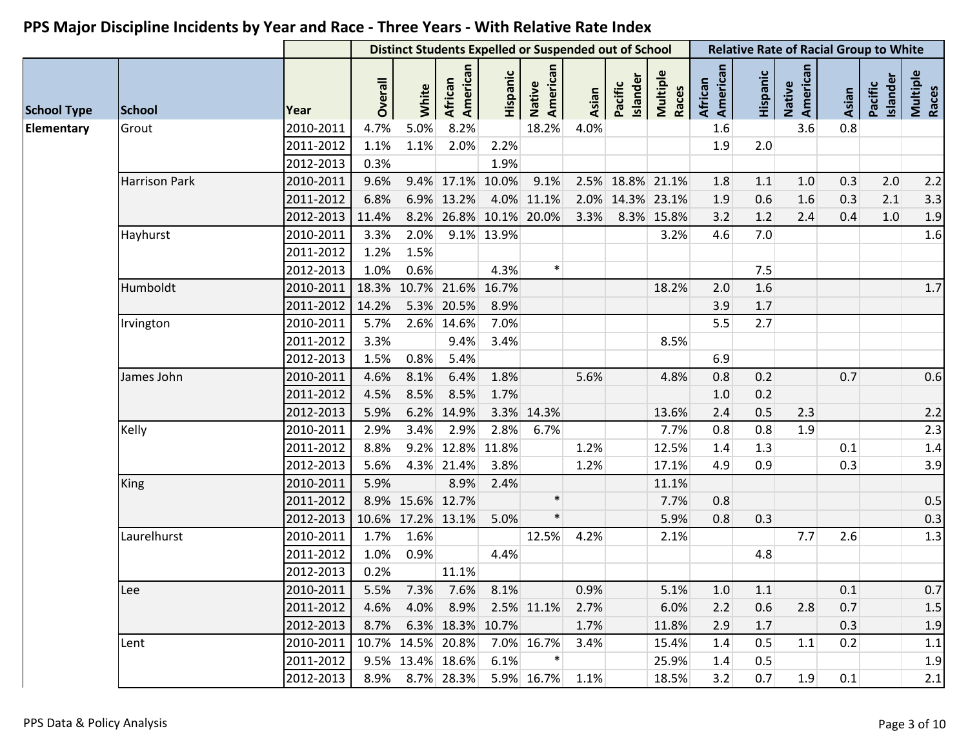| Native<br>American<br>African<br>American<br>American<br>African<br>American<br>Hispanic<br>Hispanic<br>Multiple<br>Races<br>Multiple<br>Races<br><b>Islander</b><br>Pacific<br>Islander<br>Overall<br>Native<br>Pacific<br>White<br>Asian<br>Asian<br><b>School</b><br>Year<br>8.2%<br>3.6<br>2010-2011<br>4.7%<br>5.0%<br>18.2%<br>4.0%<br>0.8<br>Grout<br>1.6<br>1.1%<br>2011-2012<br>1.1%<br>2.0%<br>2.2%<br>1.9<br>2.0<br>2012-2013<br>0.3%<br>1.9%<br><b>Harrison Park</b><br>2010-2011<br>9.4% 17.1%<br>10.0%<br>9.1%<br>1.8<br>$1.0$<br>0.3<br>2.0<br>2.2<br>9.6%<br>2.5% 18.8% 21.1%<br>1.1<br>2011-2012<br>6.9% 13.2%<br>4.0% 11.1%<br>2.0% 14.3% 23.1%<br>0.6<br>1.6<br>0.3<br>2.1<br>3.3<br>6.8%<br>1.9<br>8.2% 26.8% 10.1% 20.0%<br>8.3% 15.8%<br>1.0<br>1.9<br>2012-2013<br>11.4%<br>3.3%<br>3.2<br>1.2<br>2.4<br>0.4<br>2.0%<br>9.1% 13.9%<br>4.6<br>1.6<br>2010-2011<br>3.3%<br>7.0<br>Hayhurst<br>3.2%<br>1.5%<br>1.2%<br>2011-2012<br>$\ast$<br>1.0%<br>0.6%<br>4.3%<br>2012-2013<br>7.5<br>18.3% 10.7% 21.6%<br>$1.7$<br>Humboldt<br>2010-2011<br>16.7%<br>18.2%<br>2.0<br>1.6<br>5.3% 20.5%<br>8.9%<br>2011-2012<br>14.2%<br>3.9<br>1.7<br>2010-2011<br>2.6% 14.6%<br>7.0%<br>5.5<br>2.7<br>5.7%<br>Irvington<br>3.3%<br>9.4%<br>3.4%<br>8.5%<br>2011-2012<br>0.8%<br>5.4%<br>6.9<br>2012-2013<br>1.5%<br>0.6<br>2010-2011<br>4.6%<br>8.1%<br>1.8%<br>5.6%<br>0.8<br>0.2<br>0.7<br>James John<br>6.4%<br>4.8%<br>8.5%<br>8.5%<br>1.7%<br>2011-2012<br>4.5%<br>1.0<br>0.2<br>2012-2013<br>0.5<br>5.9%<br>6.2% 14.9%<br>3.3% 14.3%<br>13.6%<br>2.4<br>2.3<br>2.2<br>2.8%<br>0.8<br>1.9<br>2.3<br>Kelly<br>2010-2011<br>3.4%<br>2.9%<br>6.7%<br>0.8<br>2.9%<br>7.7%<br>8.8%<br>9.2% 12.8%<br>11.8%<br>1.4<br>2011-2012<br>1.2%<br>12.5%<br>1.4<br>1.3<br>0.1<br>3.9<br>4.3% 21.4%<br>3.8%<br>4.9<br>0.9<br>0.3<br>2012-2013<br>5.6%<br>1.2%<br>17.1%<br>King<br>2010-2011<br>5.9%<br>8.9%<br>2.4%<br>11.1%<br>$\ast$<br>8.9% 15.6% 12.7%<br>0.8<br>0.5<br>2011-2012<br>7.7%<br>$\ast$<br>10.6% 17.2% 13.1%<br>5.0%<br>5.9%<br>0.8<br>0.3<br>2012-2013<br>0.3<br>Laurelhurst<br>2010-2011<br>12.5%<br>1.3<br>1.7%<br>1.6%<br>7.7<br>2.6<br>4.2%<br>2.1%<br>1.0%<br>0.9%<br>2011-2012<br>4.4%<br>4.8<br>0.2%<br>2012-2013<br>11.1%<br>2010-2011<br>5.5% 7.3% 7.6% 8.1%<br>0.7<br>0.9%<br>5.1%<br>$0.1\,$<br>$1.0$<br>1.1<br>Lee<br>0.7<br>1.5<br>4.6%<br>4.0% 8.9% 2.5% 11.1%<br>2.7%<br>6.0%<br>2.2<br>0.6<br>2.8<br>2011-2012<br>2012-2013<br>8.7% 6.3% 18.3% 10.7%<br>0.3<br>1.7%<br>11.8%<br>2.9<br>1.7<br>1.9<br>0.2<br>2010-2011<br>10.7% 14.5% 20.8%<br>7.0% 16.7%<br>1.4<br>$1.1\,$<br>Lent<br>3.4%<br>15.4%<br>0.5<br>1.1<br>$\ast$<br>2011-2012<br>9.5% 13.4% 18.6%<br>6.1%<br>25.9%<br>1.9<br>1.4<br>0.5<br>8.9% 8.7% 28.3%<br>5.9% 16.7%<br>1.9<br>0.1<br>2012-2013<br>1.1%<br>18.5%<br>3.2<br>0.7<br>2.1 |                    |  |  |  | <b>Distinct Students Expelled or Suspended out of School</b> |  |  | <b>Relative Rate of Racial Group to White</b> |  |  |
|--------------------------------------------------------------------------------------------------------------------------------------------------------------------------------------------------------------------------------------------------------------------------------------------------------------------------------------------------------------------------------------------------------------------------------------------------------------------------------------------------------------------------------------------------------------------------------------------------------------------------------------------------------------------------------------------------------------------------------------------------------------------------------------------------------------------------------------------------------------------------------------------------------------------------------------------------------------------------------------------------------------------------------------------------------------------------------------------------------------------------------------------------------------------------------------------------------------------------------------------------------------------------------------------------------------------------------------------------------------------------------------------------------------------------------------------------------------------------------------------------------------------------------------------------------------------------------------------------------------------------------------------------------------------------------------------------------------------------------------------------------------------------------------------------------------------------------------------------------------------------------------------------------------------------------------------------------------------------------------------------------------------------------------------------------------------------------------------------------------------------------------------------------------------------------------------------------------------------------------------------------------------------------------------------------------------------------------------------------------------------------------------------------------------------------------------------------------------------------------------------------------------------------------------------------------------------------------------------------------------------------------------------------------------------------------------------------------------------------------------------------------------------------------------------------------------------------------|--------------------|--|--|--|--------------------------------------------------------------|--|--|-----------------------------------------------|--|--|
|                                                                                                                                                                                                                                                                                                                                                                                                                                                                                                                                                                                                                                                                                                                                                                                                                                                                                                                                                                                                                                                                                                                                                                                                                                                                                                                                                                                                                                                                                                                                                                                                                                                                                                                                                                                                                                                                                                                                                                                                                                                                                                                                                                                                                                                                                                                                                                                                                                                                                                                                                                                                                                                                                                                                                                                                                                      | <b>School Type</b> |  |  |  |                                                              |  |  |                                               |  |  |
|                                                                                                                                                                                                                                                                                                                                                                                                                                                                                                                                                                                                                                                                                                                                                                                                                                                                                                                                                                                                                                                                                                                                                                                                                                                                                                                                                                                                                                                                                                                                                                                                                                                                                                                                                                                                                                                                                                                                                                                                                                                                                                                                                                                                                                                                                                                                                                                                                                                                                                                                                                                                                                                                                                                                                                                                                                      | Elementary         |  |  |  |                                                              |  |  |                                               |  |  |
|                                                                                                                                                                                                                                                                                                                                                                                                                                                                                                                                                                                                                                                                                                                                                                                                                                                                                                                                                                                                                                                                                                                                                                                                                                                                                                                                                                                                                                                                                                                                                                                                                                                                                                                                                                                                                                                                                                                                                                                                                                                                                                                                                                                                                                                                                                                                                                                                                                                                                                                                                                                                                                                                                                                                                                                                                                      |                    |  |  |  |                                                              |  |  |                                               |  |  |
|                                                                                                                                                                                                                                                                                                                                                                                                                                                                                                                                                                                                                                                                                                                                                                                                                                                                                                                                                                                                                                                                                                                                                                                                                                                                                                                                                                                                                                                                                                                                                                                                                                                                                                                                                                                                                                                                                                                                                                                                                                                                                                                                                                                                                                                                                                                                                                                                                                                                                                                                                                                                                                                                                                                                                                                                                                      |                    |  |  |  |                                                              |  |  |                                               |  |  |
|                                                                                                                                                                                                                                                                                                                                                                                                                                                                                                                                                                                                                                                                                                                                                                                                                                                                                                                                                                                                                                                                                                                                                                                                                                                                                                                                                                                                                                                                                                                                                                                                                                                                                                                                                                                                                                                                                                                                                                                                                                                                                                                                                                                                                                                                                                                                                                                                                                                                                                                                                                                                                                                                                                                                                                                                                                      |                    |  |  |  |                                                              |  |  |                                               |  |  |
|                                                                                                                                                                                                                                                                                                                                                                                                                                                                                                                                                                                                                                                                                                                                                                                                                                                                                                                                                                                                                                                                                                                                                                                                                                                                                                                                                                                                                                                                                                                                                                                                                                                                                                                                                                                                                                                                                                                                                                                                                                                                                                                                                                                                                                                                                                                                                                                                                                                                                                                                                                                                                                                                                                                                                                                                                                      |                    |  |  |  |                                                              |  |  |                                               |  |  |
|                                                                                                                                                                                                                                                                                                                                                                                                                                                                                                                                                                                                                                                                                                                                                                                                                                                                                                                                                                                                                                                                                                                                                                                                                                                                                                                                                                                                                                                                                                                                                                                                                                                                                                                                                                                                                                                                                                                                                                                                                                                                                                                                                                                                                                                                                                                                                                                                                                                                                                                                                                                                                                                                                                                                                                                                                                      |                    |  |  |  |                                                              |  |  |                                               |  |  |
|                                                                                                                                                                                                                                                                                                                                                                                                                                                                                                                                                                                                                                                                                                                                                                                                                                                                                                                                                                                                                                                                                                                                                                                                                                                                                                                                                                                                                                                                                                                                                                                                                                                                                                                                                                                                                                                                                                                                                                                                                                                                                                                                                                                                                                                                                                                                                                                                                                                                                                                                                                                                                                                                                                                                                                                                                                      |                    |  |  |  |                                                              |  |  |                                               |  |  |
|                                                                                                                                                                                                                                                                                                                                                                                                                                                                                                                                                                                                                                                                                                                                                                                                                                                                                                                                                                                                                                                                                                                                                                                                                                                                                                                                                                                                                                                                                                                                                                                                                                                                                                                                                                                                                                                                                                                                                                                                                                                                                                                                                                                                                                                                                                                                                                                                                                                                                                                                                                                                                                                                                                                                                                                                                                      |                    |  |  |  |                                                              |  |  |                                               |  |  |
|                                                                                                                                                                                                                                                                                                                                                                                                                                                                                                                                                                                                                                                                                                                                                                                                                                                                                                                                                                                                                                                                                                                                                                                                                                                                                                                                                                                                                                                                                                                                                                                                                                                                                                                                                                                                                                                                                                                                                                                                                                                                                                                                                                                                                                                                                                                                                                                                                                                                                                                                                                                                                                                                                                                                                                                                                                      |                    |  |  |  |                                                              |  |  |                                               |  |  |
|                                                                                                                                                                                                                                                                                                                                                                                                                                                                                                                                                                                                                                                                                                                                                                                                                                                                                                                                                                                                                                                                                                                                                                                                                                                                                                                                                                                                                                                                                                                                                                                                                                                                                                                                                                                                                                                                                                                                                                                                                                                                                                                                                                                                                                                                                                                                                                                                                                                                                                                                                                                                                                                                                                                                                                                                                                      |                    |  |  |  |                                                              |  |  |                                               |  |  |
|                                                                                                                                                                                                                                                                                                                                                                                                                                                                                                                                                                                                                                                                                                                                                                                                                                                                                                                                                                                                                                                                                                                                                                                                                                                                                                                                                                                                                                                                                                                                                                                                                                                                                                                                                                                                                                                                                                                                                                                                                                                                                                                                                                                                                                                                                                                                                                                                                                                                                                                                                                                                                                                                                                                                                                                                                                      |                    |  |  |  |                                                              |  |  |                                               |  |  |
|                                                                                                                                                                                                                                                                                                                                                                                                                                                                                                                                                                                                                                                                                                                                                                                                                                                                                                                                                                                                                                                                                                                                                                                                                                                                                                                                                                                                                                                                                                                                                                                                                                                                                                                                                                                                                                                                                                                                                                                                                                                                                                                                                                                                                                                                                                                                                                                                                                                                                                                                                                                                                                                                                                                                                                                                                                      |                    |  |  |  |                                                              |  |  |                                               |  |  |
|                                                                                                                                                                                                                                                                                                                                                                                                                                                                                                                                                                                                                                                                                                                                                                                                                                                                                                                                                                                                                                                                                                                                                                                                                                                                                                                                                                                                                                                                                                                                                                                                                                                                                                                                                                                                                                                                                                                                                                                                                                                                                                                                                                                                                                                                                                                                                                                                                                                                                                                                                                                                                                                                                                                                                                                                                                      |                    |  |  |  |                                                              |  |  |                                               |  |  |
|                                                                                                                                                                                                                                                                                                                                                                                                                                                                                                                                                                                                                                                                                                                                                                                                                                                                                                                                                                                                                                                                                                                                                                                                                                                                                                                                                                                                                                                                                                                                                                                                                                                                                                                                                                                                                                                                                                                                                                                                                                                                                                                                                                                                                                                                                                                                                                                                                                                                                                                                                                                                                                                                                                                                                                                                                                      |                    |  |  |  |                                                              |  |  |                                               |  |  |
|                                                                                                                                                                                                                                                                                                                                                                                                                                                                                                                                                                                                                                                                                                                                                                                                                                                                                                                                                                                                                                                                                                                                                                                                                                                                                                                                                                                                                                                                                                                                                                                                                                                                                                                                                                                                                                                                                                                                                                                                                                                                                                                                                                                                                                                                                                                                                                                                                                                                                                                                                                                                                                                                                                                                                                                                                                      |                    |  |  |  |                                                              |  |  |                                               |  |  |
|                                                                                                                                                                                                                                                                                                                                                                                                                                                                                                                                                                                                                                                                                                                                                                                                                                                                                                                                                                                                                                                                                                                                                                                                                                                                                                                                                                                                                                                                                                                                                                                                                                                                                                                                                                                                                                                                                                                                                                                                                                                                                                                                                                                                                                                                                                                                                                                                                                                                                                                                                                                                                                                                                                                                                                                                                                      |                    |  |  |  |                                                              |  |  |                                               |  |  |
|                                                                                                                                                                                                                                                                                                                                                                                                                                                                                                                                                                                                                                                                                                                                                                                                                                                                                                                                                                                                                                                                                                                                                                                                                                                                                                                                                                                                                                                                                                                                                                                                                                                                                                                                                                                                                                                                                                                                                                                                                                                                                                                                                                                                                                                                                                                                                                                                                                                                                                                                                                                                                                                                                                                                                                                                                                      |                    |  |  |  |                                                              |  |  |                                               |  |  |
|                                                                                                                                                                                                                                                                                                                                                                                                                                                                                                                                                                                                                                                                                                                                                                                                                                                                                                                                                                                                                                                                                                                                                                                                                                                                                                                                                                                                                                                                                                                                                                                                                                                                                                                                                                                                                                                                                                                                                                                                                                                                                                                                                                                                                                                                                                                                                                                                                                                                                                                                                                                                                                                                                                                                                                                                                                      |                    |  |  |  |                                                              |  |  |                                               |  |  |
|                                                                                                                                                                                                                                                                                                                                                                                                                                                                                                                                                                                                                                                                                                                                                                                                                                                                                                                                                                                                                                                                                                                                                                                                                                                                                                                                                                                                                                                                                                                                                                                                                                                                                                                                                                                                                                                                                                                                                                                                                                                                                                                                                                                                                                                                                                                                                                                                                                                                                                                                                                                                                                                                                                                                                                                                                                      |                    |  |  |  |                                                              |  |  |                                               |  |  |
|                                                                                                                                                                                                                                                                                                                                                                                                                                                                                                                                                                                                                                                                                                                                                                                                                                                                                                                                                                                                                                                                                                                                                                                                                                                                                                                                                                                                                                                                                                                                                                                                                                                                                                                                                                                                                                                                                                                                                                                                                                                                                                                                                                                                                                                                                                                                                                                                                                                                                                                                                                                                                                                                                                                                                                                                                                      |                    |  |  |  |                                                              |  |  |                                               |  |  |
|                                                                                                                                                                                                                                                                                                                                                                                                                                                                                                                                                                                                                                                                                                                                                                                                                                                                                                                                                                                                                                                                                                                                                                                                                                                                                                                                                                                                                                                                                                                                                                                                                                                                                                                                                                                                                                                                                                                                                                                                                                                                                                                                                                                                                                                                                                                                                                                                                                                                                                                                                                                                                                                                                                                                                                                                                                      |                    |  |  |  |                                                              |  |  |                                               |  |  |
|                                                                                                                                                                                                                                                                                                                                                                                                                                                                                                                                                                                                                                                                                                                                                                                                                                                                                                                                                                                                                                                                                                                                                                                                                                                                                                                                                                                                                                                                                                                                                                                                                                                                                                                                                                                                                                                                                                                                                                                                                                                                                                                                                                                                                                                                                                                                                                                                                                                                                                                                                                                                                                                                                                                                                                                                                                      |                    |  |  |  |                                                              |  |  |                                               |  |  |
|                                                                                                                                                                                                                                                                                                                                                                                                                                                                                                                                                                                                                                                                                                                                                                                                                                                                                                                                                                                                                                                                                                                                                                                                                                                                                                                                                                                                                                                                                                                                                                                                                                                                                                                                                                                                                                                                                                                                                                                                                                                                                                                                                                                                                                                                                                                                                                                                                                                                                                                                                                                                                                                                                                                                                                                                                                      |                    |  |  |  |                                                              |  |  |                                               |  |  |
|                                                                                                                                                                                                                                                                                                                                                                                                                                                                                                                                                                                                                                                                                                                                                                                                                                                                                                                                                                                                                                                                                                                                                                                                                                                                                                                                                                                                                                                                                                                                                                                                                                                                                                                                                                                                                                                                                                                                                                                                                                                                                                                                                                                                                                                                                                                                                                                                                                                                                                                                                                                                                                                                                                                                                                                                                                      |                    |  |  |  |                                                              |  |  |                                               |  |  |
|                                                                                                                                                                                                                                                                                                                                                                                                                                                                                                                                                                                                                                                                                                                                                                                                                                                                                                                                                                                                                                                                                                                                                                                                                                                                                                                                                                                                                                                                                                                                                                                                                                                                                                                                                                                                                                                                                                                                                                                                                                                                                                                                                                                                                                                                                                                                                                                                                                                                                                                                                                                                                                                                                                                                                                                                                                      |                    |  |  |  |                                                              |  |  |                                               |  |  |
|                                                                                                                                                                                                                                                                                                                                                                                                                                                                                                                                                                                                                                                                                                                                                                                                                                                                                                                                                                                                                                                                                                                                                                                                                                                                                                                                                                                                                                                                                                                                                                                                                                                                                                                                                                                                                                                                                                                                                                                                                                                                                                                                                                                                                                                                                                                                                                                                                                                                                                                                                                                                                                                                                                                                                                                                                                      |                    |  |  |  |                                                              |  |  |                                               |  |  |
|                                                                                                                                                                                                                                                                                                                                                                                                                                                                                                                                                                                                                                                                                                                                                                                                                                                                                                                                                                                                                                                                                                                                                                                                                                                                                                                                                                                                                                                                                                                                                                                                                                                                                                                                                                                                                                                                                                                                                                                                                                                                                                                                                                                                                                                                                                                                                                                                                                                                                                                                                                                                                                                                                                                                                                                                                                      |                    |  |  |  |                                                              |  |  |                                               |  |  |
|                                                                                                                                                                                                                                                                                                                                                                                                                                                                                                                                                                                                                                                                                                                                                                                                                                                                                                                                                                                                                                                                                                                                                                                                                                                                                                                                                                                                                                                                                                                                                                                                                                                                                                                                                                                                                                                                                                                                                                                                                                                                                                                                                                                                                                                                                                                                                                                                                                                                                                                                                                                                                                                                                                                                                                                                                                      |                    |  |  |  |                                                              |  |  |                                               |  |  |
|                                                                                                                                                                                                                                                                                                                                                                                                                                                                                                                                                                                                                                                                                                                                                                                                                                                                                                                                                                                                                                                                                                                                                                                                                                                                                                                                                                                                                                                                                                                                                                                                                                                                                                                                                                                                                                                                                                                                                                                                                                                                                                                                                                                                                                                                                                                                                                                                                                                                                                                                                                                                                                                                                                                                                                                                                                      |                    |  |  |  |                                                              |  |  |                                               |  |  |
|                                                                                                                                                                                                                                                                                                                                                                                                                                                                                                                                                                                                                                                                                                                                                                                                                                                                                                                                                                                                                                                                                                                                                                                                                                                                                                                                                                                                                                                                                                                                                                                                                                                                                                                                                                                                                                                                                                                                                                                                                                                                                                                                                                                                                                                                                                                                                                                                                                                                                                                                                                                                                                                                                                                                                                                                                                      |                    |  |  |  |                                                              |  |  |                                               |  |  |
|                                                                                                                                                                                                                                                                                                                                                                                                                                                                                                                                                                                                                                                                                                                                                                                                                                                                                                                                                                                                                                                                                                                                                                                                                                                                                                                                                                                                                                                                                                                                                                                                                                                                                                                                                                                                                                                                                                                                                                                                                                                                                                                                                                                                                                                                                                                                                                                                                                                                                                                                                                                                                                                                                                                                                                                                                                      |                    |  |  |  |                                                              |  |  |                                               |  |  |
|                                                                                                                                                                                                                                                                                                                                                                                                                                                                                                                                                                                                                                                                                                                                                                                                                                                                                                                                                                                                                                                                                                                                                                                                                                                                                                                                                                                                                                                                                                                                                                                                                                                                                                                                                                                                                                                                                                                                                                                                                                                                                                                                                                                                                                                                                                                                                                                                                                                                                                                                                                                                                                                                                                                                                                                                                                      |                    |  |  |  |                                                              |  |  |                                               |  |  |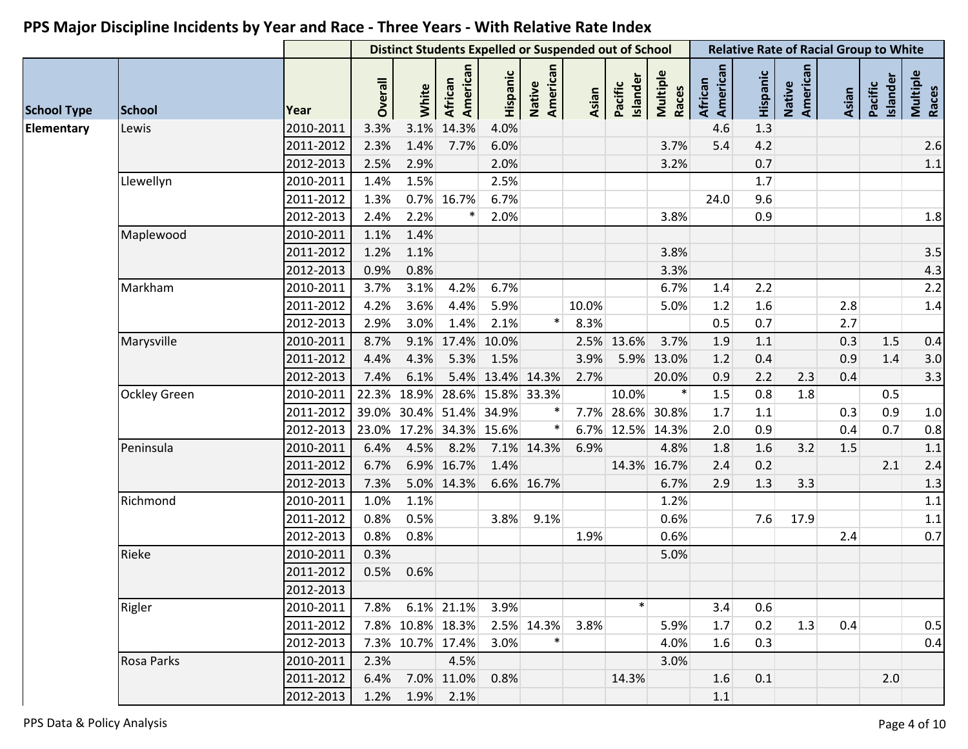|                    |                        |           |                |                | <b>Distinct Students Expelled or Suspended out of School</b> |                  |                    |              |                     |                   | <b>Relative Rate of Racial Group to White</b> |          |                    |       |                     |                   |
|--------------------|------------------------|-----------|----------------|----------------|--------------------------------------------------------------|------------------|--------------------|--------------|---------------------|-------------------|-----------------------------------------------|----------|--------------------|-------|---------------------|-------------------|
| <b>School Type</b> | <b>School</b><br>Lewis |           | <b>Overall</b> | White          | American<br>African                                          | Hispanic         | Native<br>American | <b>Asian</b> | Islander<br>Pacific | Multiple<br>Races | American<br><b>African</b>                    | Hispanic | Native<br>American | Asian | Islander<br>Pacific | Multiple<br>Races |
| Elementary         |                        | 2010-2011 | 3.3%           | 3.1%           | 14.3%                                                        | 4.0%             |                    |              |                     |                   | 4.6                                           | 1.3      |                    |       |                     |                   |
|                    |                        | 2011-2012 | 2.3%           | 1.4%           | 7.7%                                                         | 6.0%             |                    |              |                     | 3.7%              | 5.4                                           | 4.2      |                    |       |                     | 2.6               |
|                    |                        | 2012-2013 | 2.5%           | 2.9%           |                                                              | 2.0%             |                    |              |                     | 3.2%              |                                               | 0.7      |                    |       |                     | $1.1\,$           |
|                    | Llewellyn              | 2010-2011 | 1.4%           | 1.5%           |                                                              | 2.5%             |                    |              |                     |                   |                                               | 1.7      |                    |       |                     |                   |
|                    |                        | 2011-2012 | 1.3%           |                | 0.7% 16.7%                                                   | 6.7%             |                    |              |                     |                   | 24.0                                          | 9.6      |                    |       |                     |                   |
|                    |                        | 2012-2013 | 2.4%           | 2.2%           | $\ast$                                                       | 2.0%             |                    |              |                     | 3.8%              |                                               | 0.9      |                    |       |                     | 1.8               |
|                    | Maplewood              | 2010-2011 | 1.1%           | 1.4%           |                                                              |                  |                    |              |                     |                   |                                               |          |                    |       |                     |                   |
|                    |                        | 2011-2012 | 1.2%           | 1.1%           |                                                              |                  |                    |              |                     | 3.8%              |                                               |          |                    |       |                     | 3.5               |
|                    |                        | 2012-2013 | 0.9%           | 0.8%           |                                                              |                  |                    |              |                     | 3.3%              |                                               |          |                    |       |                     | 4.3               |
|                    | Markham                | 2010-2011 | 3.7%           | 3.1%           | 4.2%                                                         | 6.7%             |                    |              |                     | 6.7%              | 1.4                                           | 2.2      |                    |       |                     | 2.2               |
|                    |                        | 2011-2012 | 4.2%           | 3.6%           | 4.4%                                                         | 5.9%             |                    | 10.0%        |                     | 5.0%              | 1.2                                           | 1.6      |                    | 2.8   |                     | 1.4               |
|                    |                        | 2012-2013 | 2.9%           | 3.0%           | 1.4%                                                         | 2.1%             | $\ast$             | 8.3%         |                     |                   | 0.5                                           | 0.7      |                    | 2.7   |                     |                   |
|                    | Marysville             | 2010-2011 | 8.7%           |                | 9.1% 17.4% 10.0%                                             |                  |                    |              | 2.5% 13.6%          | 3.7%              | 1.9                                           | 1.1      |                    | 0.3   | $1.5\,$             | 0.4               |
|                    |                        | 2011-2012 | 4.4%           | 4.3%           | 5.3%                                                         | 1.5%             |                    | 3.9%         |                     | 5.9% 13.0%        | 1.2                                           | 0.4      |                    | 0.9   | 1.4                 | 3.0               |
|                    |                        | 2012-2013 | 7.4%           | 6.1%           |                                                              | 5.4% 13.4% 14.3% |                    | 2.7%         |                     | 20.0%             | 0.9                                           | 2.2      | 2.3                | 0.4   |                     | 3.3               |
|                    | <b>Ockley Green</b>    | 2010-2011 |                |                | 22.3% 18.9% 28.6% 15.8% 33.3%                                |                  |                    |              | 10.0%               |                   | 1.5                                           | 0.8      | 1.8                |       | 0.5                 |                   |
|                    |                        | 2011-2012 |                |                | 39.0% 30.4% 51.4% 34.9%                                      |                  |                    |              | 7.7% 28.6% 30.8%    |                   | $1.7$                                         | 1.1      |                    | 0.3   | 0.9                 | $1.0$             |
|                    |                        | 2012-2013 |                |                | 23.0% 17.2% 34.3% 15.6%                                      |                  |                    |              | 6.7% 12.5% 14.3%    |                   | 2.0                                           | 0.9      |                    | 0.4   | 0.7                 | 0.8               |
|                    | Peninsula              | 2010-2011 | 6.4%           | 4.5%           | 8.2%                                                         |                  | 7.1% 14.3%         | 6.9%         |                     | 4.8%              | 1.8                                           | 1.6      | 3.2                | 1.5   |                     | 1.1               |
|                    |                        | 2011-2012 | 6.7%           |                | 6.9% 16.7%                                                   | 1.4%             |                    |              |                     | 14.3% 16.7%       | 2.4                                           | 0.2      |                    |       | 2.1                 | 2.4               |
|                    |                        | 2012-2013 | 7.3%           |                | 5.0% 14.3%                                                   |                  | 6.6% 16.7%         |              |                     | 6.7%              | 2.9                                           | 1.3      | 3.3                |       |                     | 1.3               |
|                    | Richmond               | 2010-2011 | 1.0%           | 1.1%           |                                                              |                  |                    |              |                     | 1.2%              |                                               |          |                    |       |                     | $1.1\,$           |
|                    |                        | 2011-2012 | 0.8%           | 0.5%           |                                                              | 3.8%             | 9.1%               |              |                     | 0.6%              |                                               | 7.6      | 17.9               |       |                     | $1.1\,$           |
|                    |                        | 2012-2013 | 0.8%           | 0.8%           |                                                              |                  |                    | 1.9%         |                     | 0.6%              |                                               |          |                    | 2.4   |                     | 0.7               |
|                    | Rieke                  | 2010-2011 | 0.3%           |                |                                                              |                  |                    |              |                     | 5.0%              |                                               |          |                    |       |                     |                   |
|                    |                        | 2011-2012 | 0.5%           | 0.6%           |                                                              |                  |                    |              |                     |                   |                                               |          |                    |       |                     |                   |
|                    |                        | 2012-2013 |                |                |                                                              |                  |                    |              |                     |                   |                                               |          |                    |       |                     |                   |
|                    | Rigler                 | 2010-2011 |                |                | 7.8% 6.1% 21.1%                                              | 3.9%             |                    |              | $\ast$              |                   | 3.4                                           | 0.6      |                    |       |                     |                   |
|                    |                        | 2011-2012 |                |                | 7.8% 10.8% 18.3%                                             |                  | 2.5% 14.3%         | 3.8%         |                     | 5.9%              | 1.7                                           | 0.2      | 1.3                | 0.4   |                     | 0.5               |
|                    |                        | 2012-2013 |                |                | 7.3% 10.7% 17.4%                                             | 3.0%             | $\ast$             |              |                     | 4.0%              | 1.6                                           | 0.3      |                    |       |                     | 0.4               |
|                    | Rosa Parks             | 2010-2011 | 2.3%           |                | 4.5%                                                         |                  |                    |              |                     | 3.0%              |                                               |          |                    |       |                     |                   |
|                    |                        | 2011-2012 |                |                | 6.4% 7.0% 11.0%                                              | 0.8%             |                    |              | 14.3%               |                   | 1.6                                           | 0.1      |                    |       | 2.0                 |                   |
|                    |                        | 2012-2013 |                | 1.2% 1.9% 2.1% |                                                              |                  |                    |              |                     |                   | 1.1                                           |          |                    |       |                     |                   |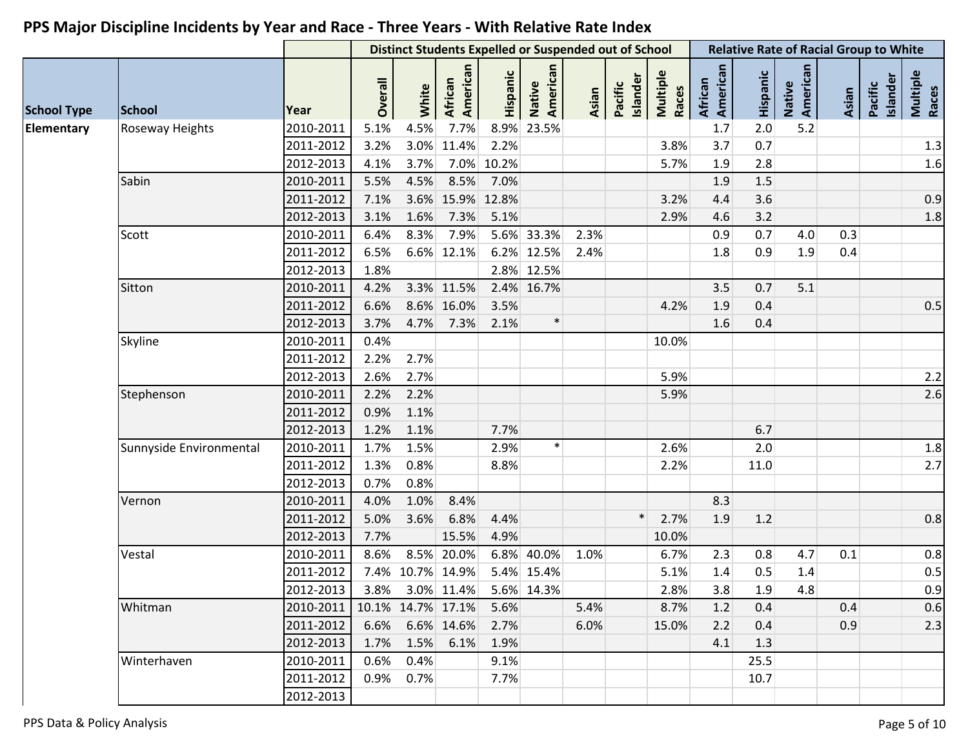|                    |                         |           |         |           | <b>Distinct Students Expelled or Suspended out of School</b> |          |                           |       |                     |                   | <b>Relative Rate of Racial Group to White</b> |          |                    |       |                     |                   |
|--------------------|-------------------------|-----------|---------|-----------|--------------------------------------------------------------|----------|---------------------------|-------|---------------------|-------------------|-----------------------------------------------|----------|--------------------|-------|---------------------|-------------------|
| <b>School Type</b> | <b>School</b>           | Year      | Overall | White     | African<br>American                                          | Hispanic | American<br><b>Native</b> | Asian | Islander<br>Pacific | Multiple<br>Races | African<br>American                           | Hispanic | Native<br>American | Asian | Islander<br>Pacific | Multiple<br>Races |
| Elementary         | Roseway Heights         | 2010-2011 | 5.1%    | 4.5%      | 7.7%                                                         |          | 8.9% 23.5%                |       |                     |                   | 1.7                                           | 2.0      | 5.2                |       |                     |                   |
|                    |                         | 2011-2012 | 3.2%    |           | 3.0% 11.4%                                                   | 2.2%     |                           |       |                     | 3.8%              | 3.7                                           | 0.7      |                    |       |                     | 1.3               |
|                    |                         | 2012-2013 | 4.1%    | 3.7%      | 7.0%                                                         | 10.2%    |                           |       |                     | 5.7%              | 1.9                                           | 2.8      |                    |       |                     | 1.6               |
|                    | Sabin                   | 2010-2011 | 5.5%    | 4.5%      | 8.5%                                                         | 7.0%     |                           |       |                     |                   | 1.9                                           | 1.5      |                    |       |                     |                   |
|                    |                         | 2011-2012 | 7.1%    |           | 3.6% 15.9%                                                   | 12.8%    |                           |       |                     | 3.2%              | 4.4                                           | 3.6      |                    |       |                     | 0.9               |
|                    |                         | 2012-2013 | 3.1%    | 1.6%      | 7.3%                                                         | 5.1%     |                           |       |                     | 2.9%              | 4.6                                           | 3.2      |                    |       |                     | 1.8               |
|                    | Scott                   | 2010-2011 | 6.4%    | 8.3%      | 7.9%                                                         |          | 5.6% 33.3%                | 2.3%  |                     |                   | 0.9                                           | 0.7      | 4.0                | 0.3   |                     |                   |
|                    |                         | 2011-2012 | 6.5%    |           | 6.6% 12.1%                                                   |          | 6.2% 12.5%                | 2.4%  |                     |                   | 1.8                                           | 0.9      | 1.9                | 0.4   |                     |                   |
|                    |                         | 2012-2013 | 1.8%    |           |                                                              |          | 2.8% 12.5%                |       |                     |                   |                                               |          |                    |       |                     |                   |
|                    | Sitton                  | 2010-2011 | 4.2%    |           | 3.3% 11.5%                                                   |          | 2.4% 16.7%                |       |                     |                   | 3.5                                           | 0.7      | 5.1                |       |                     |                   |
|                    |                         | 2011-2012 | 6.6%    |           | 8.6% 16.0%                                                   | 3.5%     |                           |       |                     | 4.2%              | 1.9                                           | 0.4      |                    |       |                     | 0.5               |
|                    |                         | 2012-2013 | 3.7%    | 4.7%      | 7.3%                                                         | 2.1%     | $\ast$                    |       |                     |                   | 1.6                                           | 0.4      |                    |       |                     |                   |
|                    | Skyline                 | 2010-2011 | 0.4%    |           |                                                              |          |                           |       |                     | 10.0%             |                                               |          |                    |       |                     |                   |
|                    |                         | 2011-2012 | 2.2%    | 2.7%      |                                                              |          |                           |       |                     |                   |                                               |          |                    |       |                     |                   |
|                    |                         | 2012-2013 | 2.6%    | 2.7%      |                                                              |          |                           |       |                     | 5.9%              |                                               |          |                    |       |                     | 2.2               |
|                    | Stephenson              | 2010-2011 | 2.2%    | 2.2%      |                                                              |          |                           |       |                     | 5.9%              |                                               |          |                    |       |                     | 2.6               |
|                    |                         | 2011-2012 | 0.9%    | 1.1%      |                                                              |          |                           |       |                     |                   |                                               |          |                    |       |                     |                   |
|                    |                         | 2012-2013 | 1.2%    | 1.1%      |                                                              | 7.7%     |                           |       |                     |                   |                                               | 6.7      |                    |       |                     |                   |
|                    | Sunnyside Environmental | 2010-2011 | 1.7%    | 1.5%      |                                                              | 2.9%     | $\ast$                    |       |                     | 2.6%              |                                               | 2.0      |                    |       |                     | 1.8               |
|                    |                         | 2011-2012 | 1.3%    | 0.8%      |                                                              | 8.8%     |                           |       |                     | 2.2%              |                                               | 11.0     |                    |       |                     | 2.7               |
|                    |                         | 2012-2013 | 0.7%    | 0.8%      |                                                              |          |                           |       |                     |                   |                                               |          |                    |       |                     |                   |
|                    | Vernon                  | 2010-2011 | 4.0%    | 1.0%      | 8.4%                                                         |          |                           |       |                     |                   | 8.3                                           |          |                    |       |                     |                   |
|                    |                         | 2011-2012 | 5.0%    | 3.6%      | 6.8%                                                         | 4.4%     |                           |       | $\ast$              | 2.7%              | 1.9                                           | 1.2      |                    |       |                     | 0.8               |
|                    |                         | 2012-2013 | 7.7%    |           | 15.5%                                                        | 4.9%     |                           |       |                     | 10.0%             |                                               |          |                    |       |                     |                   |
|                    | Vestal                  | 2010-2011 | 8.6%    |           | 8.5% 20.0%                                                   |          | 6.8% 40.0%                | 1.0%  |                     | 6.7%              | 2.3                                           | 0.8      | 4.7                | 0.1   |                     | 0.8               |
|                    |                         | 2011-2012 |         |           | 7.4% 10.7% 14.9%                                             |          | 5.4% 15.4%                |       |                     | 5.1%              | 1.4                                           | 0.5      | 1.4                |       |                     | 0.5               |
|                    |                         | 2012-2013 |         |           | 3.8% 3.0% 11.4% 5.6% 14.3%                                   |          |                           |       |                     | 2.8%              | 3.8                                           | 1.9      | 4.8                |       |                     | 0.9               |
|                    | Whitman                 | 2010-2011 |         |           | 10.1% 14.7% 17.1%                                            | 5.6%     |                           | 5.4%  |                     | 8.7%              | 1.2                                           | 0.4      |                    | 0.4   |                     | 0.6               |
|                    |                         | 2011-2012 |         |           | 6.6% 6.6% 14.6%                                              | 2.7%     |                           | 6.0%  |                     | 15.0%             | 2.2                                           | 0.4      |                    | 0.9   |                     | 2.3               |
|                    |                         | 2012-2013 | 1.7%    |           | 1.5% 6.1%                                                    | 1.9%     |                           |       |                     |                   | 4.1                                           | 1.3      |                    |       |                     |                   |
|                    | Winterhaven             | 2010-2011 | 0.6%    | 0.4%      |                                                              | 9.1%     |                           |       |                     |                   |                                               | 25.5     |                    |       |                     |                   |
|                    |                         | 2011-2012 |         | 0.9% 0.7% |                                                              | 7.7%     |                           |       |                     |                   |                                               | 10.7     |                    |       |                     |                   |
|                    |                         | 2012-2013 |         |           |                                                              |          |                           |       |                     |                   |                                               |          |                    |       |                     |                   |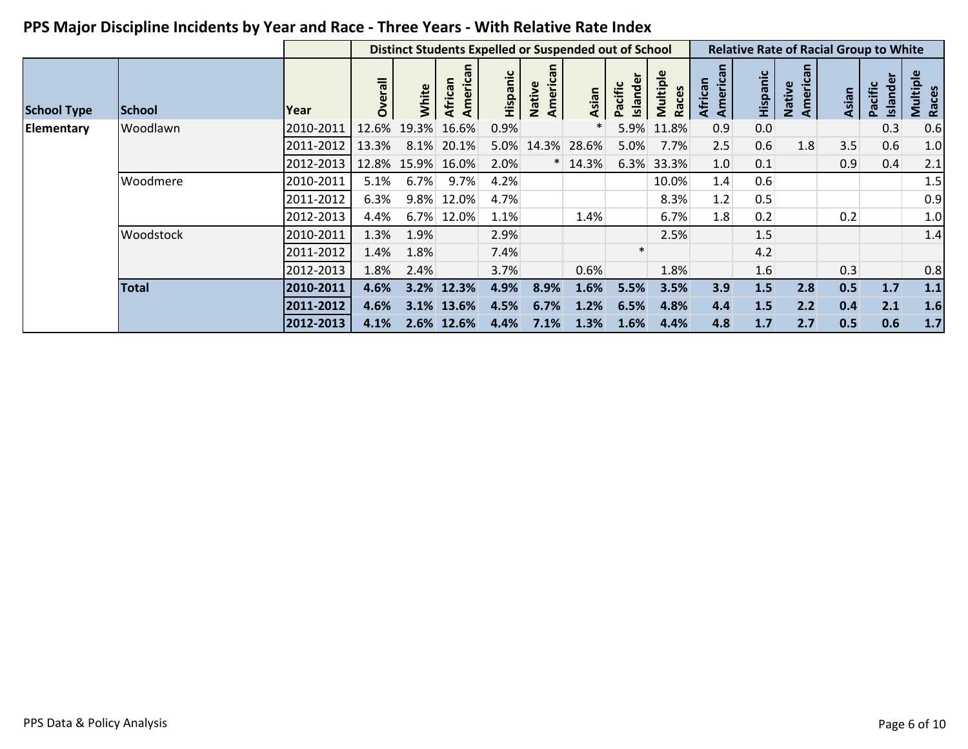|                    |              |           |                |             | <b>Distinct Students Expelled or Suspended out of School</b> |          |                    |       |                     |                   |                         |          |                          |       | <b>Relative Rate of Racial Group to White</b> |                   |
|--------------------|--------------|-----------|----------------|-------------|--------------------------------------------------------------|----------|--------------------|-------|---------------------|-------------------|-------------------------|----------|--------------------------|-------|-----------------------------------------------|-------------------|
| <b>School Type</b> | School       | Year      | <b>Overall</b> | White       | American                                                     | Hispanic | Americar<br>Native | Asian | Islander<br>Pacific | Multiple<br>Races | ത<br>America<br>African | Hispanic | <b>America</b><br>Native | Asian | Islander<br>Pacific                           | Multiple<br>Races |
| Elementary         | Woodlawn     | 2010-2011 | 12.6%          | 19.3%       | 16.6%                                                        | 0.9%     |                    |       | 5.9%                | 11.8%             | 0.9                     | 0.0      |                          |       | 0.3                                           | 0.6               |
|                    |              | 2011-2012 | 13.3%          | 8.1%        | 20.1%                                                        | 5.0%     | 14.3%              | 28.6% | 5.0%                | 7.7%              | 2.5                     | 0.6      | 1.8                      | 3.5   | 0.6                                           | 1.0               |
|                    |              | 2012-2013 |                | 12.8% 15.9% | 16.0%                                                        | 2.0%     |                    | 14.3% | 6.3%                | 33.3%             | 1.0                     | 0.1      |                          | 0.9   | 0.4                                           | 2.1               |
|                    | Woodmere     | 2010-2011 | 5.1%           | 6.7%        | 9.7%                                                         | 4.2%     |                    |       |                     | 10.0%             | 1.4                     | 0.6      |                          |       |                                               | 1.5               |
|                    |              | 2011-2012 | 6.3%           | 9.8%        | 12.0%                                                        | 4.7%     |                    |       |                     | 8.3%              | 1.2                     | 0.5      |                          |       |                                               | 0.9               |
|                    |              | 2012-2013 | 4.4%           | 6.7%        | 12.0%                                                        | 1.1%     |                    | 1.4%  |                     | 6.7%              | 1.8                     | 0.2      |                          | 0.2   |                                               | 1.0               |
|                    | Woodstock    | 2010-2011 | 1.3%           | 1.9%        |                                                              | 2.9%     |                    |       |                     | 2.5%              |                         | 1.5      |                          |       |                                               | 1.4               |
|                    |              | 2011-2012 | 1.4%           | 1.8%        |                                                              | 7.4%     |                    |       |                     |                   |                         | 4.2      |                          |       |                                               |                   |
|                    |              | 2012-2013 | 1.8%           | 2.4%        |                                                              | 3.7%     |                    | 0.6%  |                     | 1.8%              |                         | 1.6      |                          | 0.3   |                                               | 0.8               |
|                    | <b>Total</b> | 2010-2011 | 4.6%           | 3.2%        | 12.3%                                                        | 4.9%     | 8.9%               | 1.6%  | 5.5%                | 3.5%              | 3.9                     | 1.5      | 2.8                      | 0.5   | 1.7                                           | $1.1$             |
|                    |              | 2011-2012 | 4.6%           |             | 3.1% 13.6%                                                   | 4.5%     | 6.7%               | 1.2%  | 6.5%                | 4.8%              | 4.4                     | 1.5      | 2.2                      | 0.4   | 2.1                                           | 1.6               |
|                    |              | 2012-2013 | 4.1%           | 2.6%        | 12.6%                                                        | 4.4%     | 7.1%               | 1.3%  | 1.6%                | 4.4%              | 4.8                     | 1.7      | 2.7                      | 0.5   | 0.6                                           | 1.7               |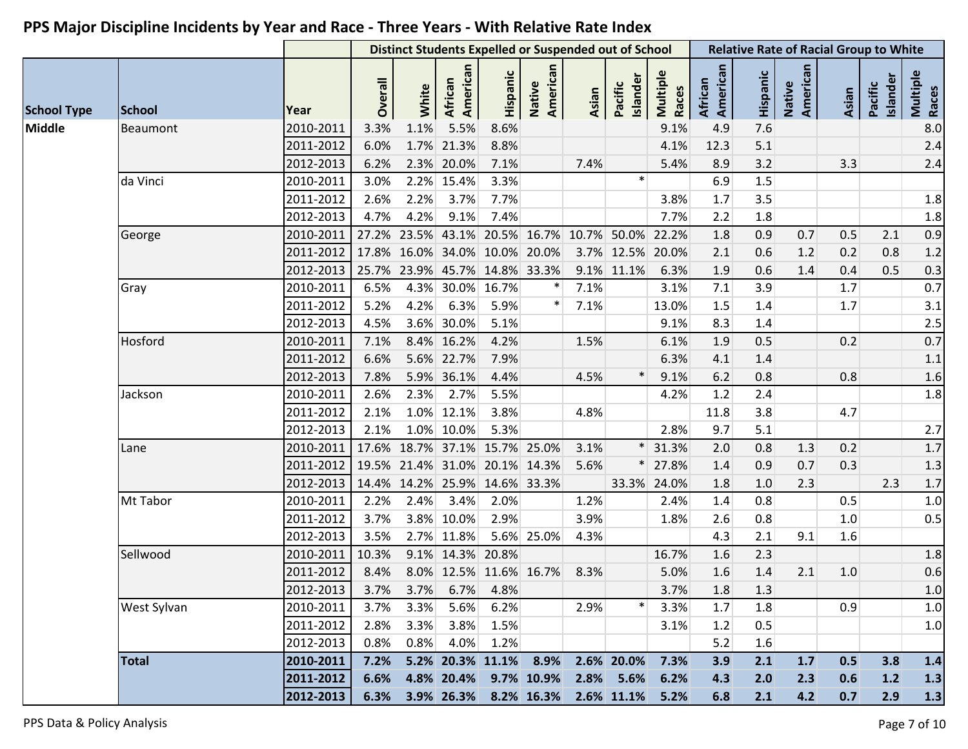|                    |               |           |         |                               |                            |          | <b>Distinct Students Expelled or Suspended out of School</b> |       |                     |                   |                     |          | <b>Relative Rate of Racial Group to White</b> |       |                     |                   |
|--------------------|---------------|-----------|---------|-------------------------------|----------------------------|----------|--------------------------------------------------------------|-------|---------------------|-------------------|---------------------|----------|-----------------------------------------------|-------|---------------------|-------------------|
| <b>School Type</b> | <b>School</b> | Year      | Overall | White                         | American<br><b>African</b> | Hispanic | American<br>Native                                           | Asian | Islander<br>Pacific | Multiple<br>Races | American<br>African | Hispanic | Native<br>American                            | Asian | Islander<br>Pacific | Multiple<br>Races |
| <b>Middle</b>      | Beaumont      | 2010-2011 | 3.3%    | 1.1%                          | 5.5%                       | 8.6%     |                                                              |       |                     | 9.1%              | 4.9                 | 7.6      |                                               |       |                     | 8.0               |
|                    |               | 2011-2012 | 6.0%    | 1.7%                          | 21.3%                      | 8.8%     |                                                              |       |                     | 4.1%              | 12.3                | 5.1      |                                               |       |                     | 2.4               |
|                    |               | 2012-2013 | 6.2%    |                               | 2.3% 20.0%                 | 7.1%     |                                                              | 7.4%  |                     | 5.4%              | 8.9                 | 3.2      |                                               | 3.3   |                     | 2.4               |
|                    | da Vinci      | 2010-2011 | 3.0%    |                               | 2.2% 15.4%                 | 3.3%     |                                                              |       | $\ast$              |                   | 6.9                 | 1.5      |                                               |       |                     |                   |
|                    |               | 2011-2012 | 2.6%    | 2.2%                          | 3.7%                       | 7.7%     |                                                              |       |                     | 3.8%              | $1.7$               | 3.5      |                                               |       |                     | 1.8               |
|                    |               | 2012-2013 | 4.7%    | 4.2%                          | 9.1%                       | 7.4%     |                                                              |       |                     | 7.7%              | 2.2                 | 1.8      |                                               |       |                     | 1.8               |
|                    | George        | 2010-2011 | 27.2%   |                               |                            |          | 23.5% 43.1% 20.5% 16.7%                                      |       | 10.7% 50.0% 22.2%   |                   | 1.8                 | 0.9      | 0.7                                           | 0.5   | 2.1                 | 0.9               |
|                    |               | 2011-2012 | 17.8%   |                               | 16.0% 34.0% 10.0% 20.0%    |          |                                                              |       | 3.7% 12.5% 20.0%    |                   | 2.1                 | 0.6      | 1.2                                           | 0.2   | 0.8                 | 1.2               |
|                    |               | 2012-2013 |         | 25.7% 23.9% 45.7% 14.8% 33.3% |                            |          |                                                              |       | 9.1% 11.1%          | 6.3%              | 1.9                 | 0.6      | 1.4                                           | 0.4   | 0.5                 | 0.3               |
|                    | Gray          | 2010-2011 | 6.5%    | 4.3%                          | 30.0%                      | 16.7%    |                                                              | 7.1%  |                     | 3.1%              | 7.1                 | 3.9      |                                               | 1.7   |                     | 0.7               |
|                    |               | 2011-2012 | 5.2%    | 4.2%                          | 6.3%                       | 5.9%     |                                                              | 7.1%  |                     | 13.0%             | $1.5\,$             | 1.4      |                                               | 1.7   |                     | 3.1               |
|                    |               | 2012-2013 | 4.5%    |                               | 3.6% 30.0%                 | 5.1%     |                                                              |       |                     | 9.1%              | 8.3                 | 1.4      |                                               |       |                     | 2.5               |
|                    | Hosford       | 2010-2011 | 7.1%    |                               | 8.4% 16.2%                 | 4.2%     |                                                              | 1.5%  |                     | 6.1%              | 1.9                 | 0.5      |                                               | 0.2   |                     | 0.7               |
|                    |               | 2011-2012 | 6.6%    | 5.6%                          | 22.7%                      | 7.9%     |                                                              |       |                     | 6.3%              | 4.1                 | 1.4      |                                               |       |                     | 1.1               |
|                    |               | 2012-2013 | 7.8%    |                               | 5.9% 36.1%                 | 4.4%     |                                                              | 4.5%  | $\ast$              | 9.1%              | 6.2                 | 0.8      |                                               | 0.8   |                     | 1.6               |
|                    | Jackson       | 2010-2011 | 2.6%    | 2.3%                          | 2.7%                       | 5.5%     |                                                              |       |                     | 4.2%              | 1.2                 | 2.4      |                                               |       |                     | 1.8               |
|                    |               | 2011-2012 | 2.1%    |                               | 1.0% 12.1%                 | 3.8%     |                                                              | 4.8%  |                     |                   | 11.8                | 3.8      |                                               | 4.7   |                     |                   |
|                    |               | 2012-2013 | 2.1%    |                               | 1.0% 10.0%                 | 5.3%     |                                                              |       |                     | 2.8%              | 9.7                 | 5.1      |                                               |       |                     | 2.7               |
|                    | Lane          | 2010-2011 | 17.6%   |                               | 18.7% 37.1%                |          | 15.7% 25.0%                                                  | 3.1%  |                     | 31.3%             | 2.0                 | 0.8      | 1.3                                           | 0.2   |                     | 1.7               |
|                    |               | 2011-2012 |         | 19.5% 21.4% 31.0%             |                            |          | 20.1% 14.3%                                                  | 5.6%  |                     | 27.8%             | 1.4                 | 0.9      | 0.7                                           | 0.3   |                     | 1.3               |
|                    |               | 2012-2013 |         | 14.4% 14.2% 25.9% 14.6% 33.3% |                            |          |                                                              |       |                     | 33.3% 24.0%       | 1.8                 | 1.0      | 2.3                                           |       | 2.3                 | $1.7$             |
|                    | Mt Tabor      | 2010-2011 | 2.2%    | 2.4%                          | 3.4%                       | 2.0%     |                                                              | 1.2%  |                     | 2.4%              | 1.4                 | 0.8      |                                               | 0.5   |                     | 1.0               |
|                    |               | 2011-2012 | 3.7%    |                               | 3.8% 10.0%                 | 2.9%     |                                                              | 3.9%  |                     | 1.8%              | 2.6                 | 0.8      |                                               | 1.0   |                     | 0.5               |
|                    |               | 2012-2013 | 3.5%    |                               | 2.7% 11.8%                 |          | 5.6% 25.0%                                                   | 4.3%  |                     |                   | 4.3                 | 2.1      | 9.1                                           | 1.6   |                     |                   |
|                    | Sellwood      | 2010-2011 | 10.3%   |                               | 9.1% 14.3% 20.8%           |          |                                                              |       |                     | 16.7%             | 1.6                 | 2.3      |                                               |       |                     | 1.8               |
|                    |               | 2011-2012 | 8.4%    |                               | 8.0% 12.5% 11.6% 16.7%     |          |                                                              | 8.3%  |                     | 5.0%              | 1.6                 | $1.4$    | 2.1                                           | 1.0   |                     | 0.6               |
|                    |               | 2012-2013 |         | 3.7% 3.7% 6.7% 4.8%           |                            |          |                                                              |       |                     | 3.7%              | 1.8                 | 1.3      |                                               |       |                     | 1.0               |
|                    | West Sylvan   | 2010-2011 | 3.7%    | 3.3%                          | 5.6%                       | 6.2%     |                                                              | 2.9%  | $\ast$              | 3.3%              | 1.7                 | 1.8      |                                               | 0.9   |                     | 1.0               |
|                    |               | 2011-2012 | 2.8%    | 3.3%                          | 3.8%                       | 1.5%     |                                                              |       |                     | 3.1%              | 1.2                 | 0.5      |                                               |       |                     | 1.0               |
|                    |               | 2012-2013 | 0.8%    | 0.8%                          | 4.0%                       | 1.2%     |                                                              |       |                     |                   | 5.2                 | 1.6      |                                               |       |                     |                   |
|                    | <b>Total</b>  | 2010-2011 | 7.2%    |                               | 5.2% 20.3% 11.1% 8.9%      |          |                                                              |       | 2.6% 20.0%          | 7.3%              | 3.9                 | 2.1      | $1.7$                                         | 0.5   | 3.8                 | 1.4               |
|                    |               | 2011-2012 | 6.6%    |                               | 4.8% 20.4%                 |          | 9.7% 10.9%                                                   |       | 2.8% 5.6%           | 6.2%              | 4.3                 | 2.0      | 2.3                                           | 0.6   | $1.2$               | 1.3               |
|                    |               | 2012-2013 | 6.3%    |                               | 3.9% 26.3%                 |          | 8.2% 16.3%                                                   |       | 2.6% 11.1%          | 5.2%              | 6.8                 | 2.1      | 4.2                                           | 0.7   | 2.9                 | 1.3               |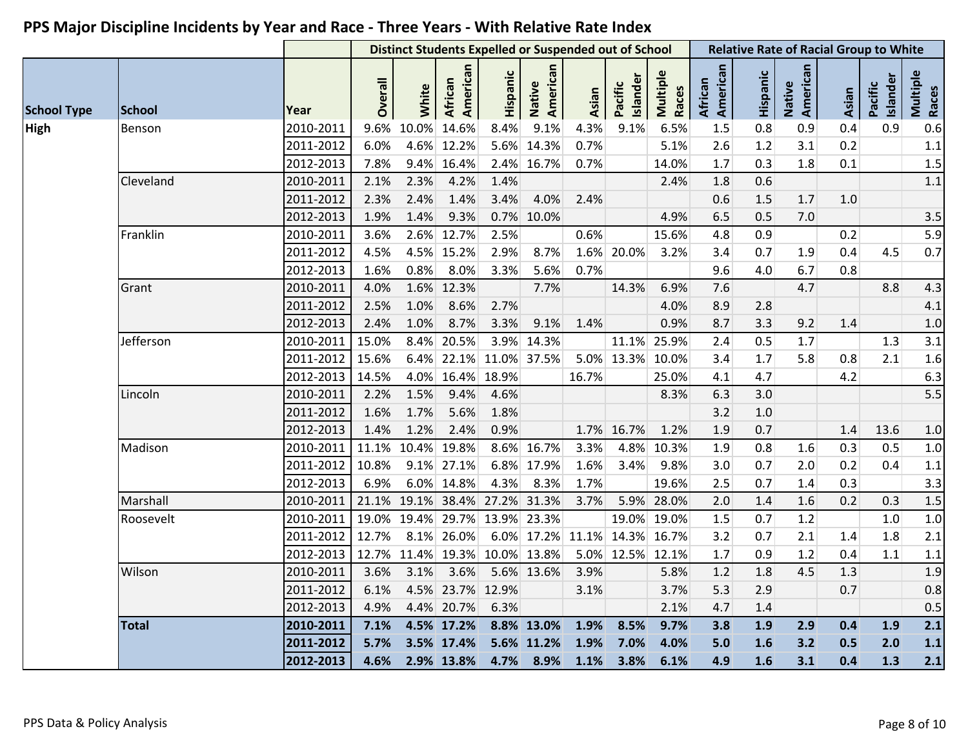|                    |              |           |         |       |                     | <b>Distinct Students Expelled or Suspended out of School</b> |                    |       |                     |                   | <b>Relative Rate of Racial Group to White</b> |          |                    |         |                     |                   |
|--------------------|--------------|-----------|---------|-------|---------------------|--------------------------------------------------------------|--------------------|-------|---------------------|-------------------|-----------------------------------------------|----------|--------------------|---------|---------------------|-------------------|
| <b>School Type</b> | School       | Year      | Overall | White | American<br>African | Hispanic                                                     | Native<br>American | Asian | Islander<br>Pacific | Multiple<br>Races | American<br>African                           | Hispanic | Native<br>American | Asian   | Islander<br>Pacific | Multiple<br>Races |
| <b>High</b>        | Benson       | 2010-2011 | 9.6%    | 10.0% | 14.6%               | 8.4%                                                         | 9.1%               | 4.3%  | 9.1%                | 6.5%              | 1.5                                           | 0.8      | 0.9                | 0.4     | 0.9                 | 0.6               |
|                    |              | 2011-2012 | 6.0%    |       | 4.6% 12.2%          |                                                              | 5.6% 14.3%         | 0.7%  |                     | 5.1%              | 2.6                                           | 1.2      | 3.1                | 0.2     |                     | $1.1\,$           |
|                    |              | 2012-2013 | 7.8%    |       | 9.4% 16.4%          |                                                              | 2.4% 16.7%         | 0.7%  |                     | 14.0%             | $1.7\,$                                       | 0.3      | 1.8                | 0.1     |                     | 1.5               |
|                    | Cleveland    | 2010-2011 | 2.1%    | 2.3%  | 4.2%                | 1.4%                                                         |                    |       |                     | 2.4%              | 1.8                                           | 0.6      |                    |         |                     | 1.1               |
|                    |              | 2011-2012 | 2.3%    | 2.4%  | 1.4%                | 3.4%                                                         | 4.0%               | 2.4%  |                     |                   | 0.6                                           | 1.5      | 1.7                | $1.0\,$ |                     |                   |
|                    |              | 2012-2013 | 1.9%    | 1.4%  | 9.3%                |                                                              | 0.7% 10.0%         |       |                     | 4.9%              | 6.5                                           | 0.5      | 7.0                |         |                     | 3.5               |
|                    | Franklin     | 2010-2011 | 3.6%    |       | 2.6% 12.7%          | 2.5%                                                         |                    | 0.6%  |                     | 15.6%             | 4.8                                           | 0.9      |                    | 0.2     |                     | 5.9               |
|                    |              | 2011-2012 | 4.5%    |       | 4.5% 15.2%          | 2.9%                                                         | 8.7%               |       | 1.6% 20.0%          | 3.2%              | 3.4                                           | 0.7      | 1.9                | 0.4     | 4.5                 | $0.7\,$           |
|                    |              | 2012-2013 | 1.6%    | 0.8%  | 8.0%                | 3.3%                                                         | 5.6%               | 0.7%  |                     |                   | 9.6                                           | 4.0      | 6.7                | 0.8     |                     |                   |
|                    | Grant        | 2010-2011 | 4.0%    |       | 1.6% 12.3%          |                                                              | 7.7%               |       | 14.3%               | 6.9%              | 7.6                                           |          | 4.7                |         | 8.8                 | 4.3               |
|                    |              | 2011-2012 | 2.5%    | 1.0%  | 8.6%                | 2.7%                                                         |                    |       |                     | 4.0%              | 8.9                                           | 2.8      |                    |         |                     | 4.1               |
|                    |              | 2012-2013 | 2.4%    | 1.0%  | 8.7%                | 3.3%                                                         | 9.1%               | 1.4%  |                     | 0.9%              | 8.7                                           | 3.3      | 9.2                | 1.4     |                     | $1.0$             |
|                    | Jefferson    | 2010-2011 | 15.0%   | 8.4%  | 20.5%               |                                                              | 3.9% 14.3%         |       |                     | 11.1% 25.9%       | 2.4                                           | 0.5      | 1.7                |         | 1.3                 | 3.1               |
|                    |              | 2011-2012 | 15.6%   |       | $6.4\%$ 22.1%       | 11.0% 37.5%                                                  |                    |       | 5.0% 13.3% 10.0%    |                   | 3.4                                           | 1.7      | 5.8                | 0.8     | 2.1                 | 1.6               |
|                    |              | 2012-2013 | 14.5%   |       | 4.0% 16.4% 18.9%    |                                                              |                    | 16.7% |                     | 25.0%             | 4.1                                           | 4.7      |                    | 4.2     |                     | 6.3               |
|                    | Lincoln      | 2010-2011 | 2.2%    | 1.5%  | 9.4%                | 4.6%                                                         |                    |       |                     | 8.3%              | 6.3                                           | 3.0      |                    |         |                     | 5.5               |
|                    |              | 2011-2012 | 1.6%    | 1.7%  | 5.6%                | 1.8%                                                         |                    |       |                     |                   | 3.2                                           | 1.0      |                    |         |                     |                   |
|                    |              | 2012-2013 | 1.4%    | 1.2%  | 2.4%                | 0.9%                                                         |                    |       | 1.7% 16.7%          | 1.2%              | 1.9                                           | 0.7      |                    | 1.4     | 13.6                | 1.0               |
|                    | Madison      | 2010-2011 | 11.1%   |       | 10.4% 19.8%         |                                                              | 8.6% 16.7%         | 3.3%  |                     | 4.8% 10.3%        | 1.9                                           | 0.8      | 1.6                | 0.3     | 0.5                 | 1.0               |
|                    |              | 2011-2012 | 10.8%   |       | 9.1% 27.1%          |                                                              | 6.8% 17.9%         | 1.6%  | 3.4%                | 9.8%              | 3.0                                           | 0.7      | 2.0                | 0.2     | 0.4                 | $1.1\,$           |
|                    |              | 2012-2013 | 6.9%    |       | 6.0% 14.8%          | 4.3%                                                         | 8.3%               | 1.7%  |                     | 19.6%             | 2.5                                           | 0.7      | 1.4                | 0.3     |                     | 3.3               |
|                    | Marshall     | 2010-2011 | 21.1%   |       |                     | 19.1% 38.4% 27.2% 31.3%                                      |                    | 3.7%  |                     | 5.9% 28.0%        | 2.0                                           | 1.4      | 1.6                | 0.2     | 0.3                 | 1.5               |
|                    | Roosevelt    | 2010-2011 | 19.0%   |       | 19.4% 29.7%         |                                                              | 13.9% 23.3%        |       |                     | 19.0% 19.0%       | $1.5\,$                                       | 0.7      | 1.2                |         | $1.0\,$             | 1.0               |
|                    |              | 2011-2012 | 12.7%   |       | 8.1% 26.0%          |                                                              | 6.0% 17.2%         |       | 11.1% 14.3% 16.7%   |                   | 3.2                                           | 0.7      | 2.1                | 1.4     | 1.8                 | 2.1               |
|                    |              | 2012-2013 | 12.7%   |       |                     | 11.4% 19.3% 10.0% 13.8%                                      |                    |       | 5.0% 12.5% 12.1%    |                   | 1.7                                           | 0.9      | 1.2                | 0.4     | 1.1                 | $1.1\,$           |
|                    | Wilson       | 2010-2011 | 3.6%    | 3.1%  | 3.6%                |                                                              | 5.6% 13.6%         | 3.9%  |                     | 5.8%              | 1.2                                           | 1.8      | 4.5                | 1.3     |                     | 1.9               |
|                    |              | 2011-2012 | 6.1%    |       | 4.5% 23.7% 12.9%    |                                                              |                    | 3.1%  |                     | 3.7%              | 5.3                                           | 2.9      |                    | 0.7     |                     | 0.8               |
|                    |              | 2012-2013 | 4.9%    |       | 4.4% 20.7%          | 6.3%                                                         |                    |       |                     | 2.1%              | 4.7                                           | 1.4      |                    |         |                     | 0.5               |
|                    | <b>Total</b> | 2010-2011 | 7.1%    |       | 4.5% 17.2%          |                                                              | 8.8% 13.0%         | 1.9%  | 8.5%                | 9.7%              | 3.8                                           | 1.9      | 2.9                | 0.4     | 1.9                 | 2.1               |
|                    |              | 2011-2012 | 5.7%    |       | 3.5% 17.4%          |                                                              | 5.6% 11.2%         | 1.9%  | 7.0%                | 4.0%              | 5.0                                           | 1.6      | 3.2                | 0.5     | 2.0                 | $1.1$             |
|                    |              | 2012-2013 | 4.6%    |       | 2.9% 13.8%          |                                                              | 4.7% 8.9%          | 1.1%  | 3.8%                | 6.1%              | 4.9                                           | 1.6      | 3.1                | 0.4     | 1.3                 | 2.1               |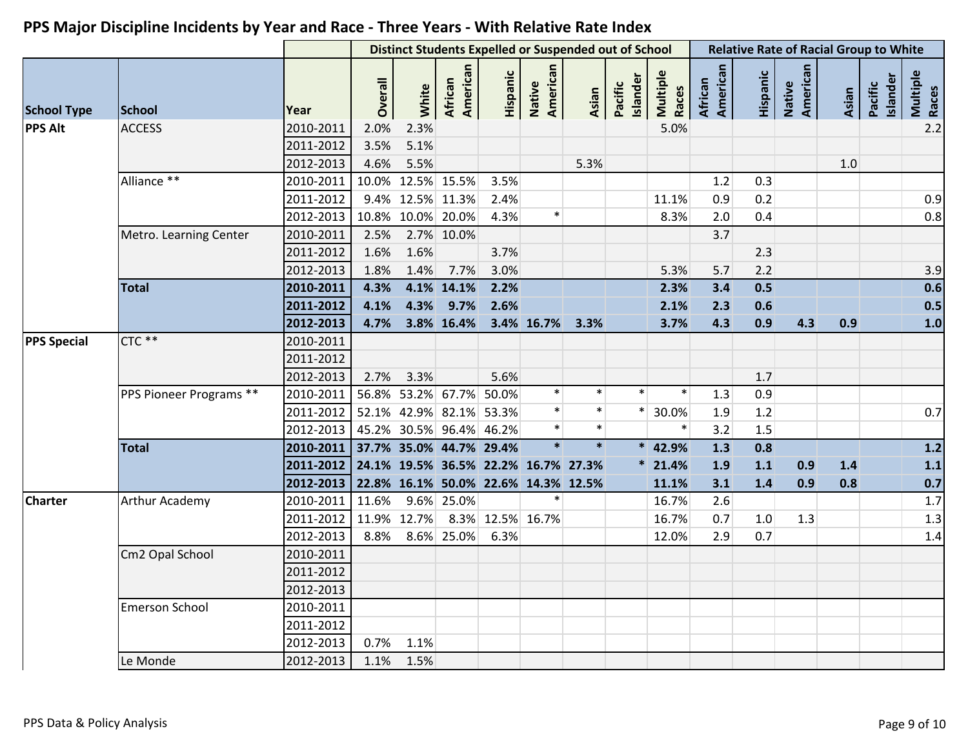|                    |                         |           |                |             | <b>Distinct Students Expelled or Suspended out of School</b> |                  |                    |        |                     |                   |                            |          | <b>Relative Rate of Racial Group to White</b> |       |                     |                   |
|--------------------|-------------------------|-----------|----------------|-------------|--------------------------------------------------------------|------------------|--------------------|--------|---------------------|-------------------|----------------------------|----------|-----------------------------------------------|-------|---------------------|-------------------|
| <b>School Type</b> | School                  | Year      | <b>Overall</b> | White       | American<br>African                                          | Hispanic         | American<br>Native | Asian  | Islander<br>Pacific | Multiple<br>Races | American<br><b>African</b> | Hispanic | Native<br>American                            | Asian | Pacific<br>Islander | Multiple<br>Races |
| <b>PPS Alt</b>     | <b>ACCESS</b>           | 2010-2011 | 2.0%           | 2.3%        |                                                              |                  |                    |        |                     | 5.0%              |                            |          |                                               |       |                     | 2.2               |
|                    |                         | 2011-2012 | 3.5%           | 5.1%        |                                                              |                  |                    |        |                     |                   |                            |          |                                               |       |                     |                   |
|                    |                         | 2012-2013 | 4.6%           | 5.5%        |                                                              |                  |                    | 5.3%   |                     |                   |                            |          |                                               | 1.0   |                     |                   |
|                    | Alliance **             | 2010-2011 |                |             | 10.0% 12.5% 15.5%                                            | 3.5%             |                    |        |                     |                   | 1.2                        | 0.3      |                                               |       |                     |                   |
|                    |                         | 2011-2012 |                |             | 9.4% 12.5% 11.3%                                             | 2.4%             |                    |        |                     | 11.1%             | 0.9                        | 0.2      |                                               |       |                     | 0.9               |
|                    |                         | 2012-2013 |                |             | 10.8% 10.0% 20.0%                                            | 4.3%             | $\ast$             |        |                     | 8.3%              | 2.0                        | 0.4      |                                               |       |                     | 0.8               |
|                    | Metro. Learning Center  | 2010-2011 | 2.5%           |             | 2.7% 10.0%                                                   |                  |                    |        |                     |                   | 3.7                        |          |                                               |       |                     |                   |
|                    |                         | 2011-2012 | 1.6%           | 1.6%        |                                                              | 3.7%             |                    |        |                     |                   |                            | 2.3      |                                               |       |                     |                   |
|                    |                         | 2012-2013 | 1.8%           | 1.4%        | 7.7%                                                         | 3.0%             |                    |        |                     | 5.3%              | 5.7                        | 2.2      |                                               |       |                     | 3.9               |
|                    | <b>Total</b>            | 2010-2011 | 4.3%           |             | 4.1% 14.1%                                                   | 2.2%             |                    |        |                     | 2.3%              | 3.4                        | 0.5      |                                               |       |                     | 0.6               |
|                    |                         | 2011-2012 | 4.1%           | 4.3%        | 9.7%                                                         | 2.6%             |                    |        |                     | 2.1%              | 2.3                        | 0.6      |                                               |       |                     | 0.5               |
|                    |                         | 2012-2013 | 4.7%           |             | 3.8% 16.4%                                                   |                  | 3.4% 16.7%         | 3.3%   |                     | 3.7%              | 4.3                        | 0.9      | 4.3                                           | 0.9   |                     | 1.0               |
| <b>PPS Special</b> | CTC **                  | 2010-2011 |                |             |                                                              |                  |                    |        |                     |                   |                            |          |                                               |       |                     |                   |
|                    |                         | 2011-2012 |                |             |                                                              |                  |                    |        |                     |                   |                            |          |                                               |       |                     |                   |
|                    |                         | 2012-2013 | 2.7%           | 3.3%        |                                                              | 5.6%             |                    |        |                     |                   |                            | 1.7      |                                               |       |                     |                   |
|                    | PPS Pioneer Programs ** | 2010-2011 |                |             | 56.8% 53.2% 67.7% 50.0%                                      |                  | $\ast$             |        |                     |                   | 1.3                        | 0.9      |                                               |       |                     |                   |
|                    |                         | 2011-2012 |                |             | 52.1% 42.9% 82.1% 53.3%                                      |                  |                    | $\ast$ |                     | 30.0%             | 1.9                        | 1.2      |                                               |       |                     | 0.7               |
|                    |                         | 2012-2013 |                |             | 45.2% 30.5% 96.4% 46.2%                                      |                  | $\ast$             | $\ast$ |                     |                   | 3.2                        | 1.5      |                                               |       |                     |                   |
|                    | <b>Total</b>            | 2010-2011 |                |             | 37.7% 35.0% 44.7% 29.4%                                      |                  |                    | $\ast$ | $\ast$              | 42.9%             | 1.3                        | 0.8      |                                               |       |                     | $1.2$             |
|                    |                         | 2011-2012 |                |             | 24.1% 19.5% 36.5% 22.2% 16.7% 27.3%                          |                  |                    |        |                     | $*$ 21.4%         | 1.9                        | $1.1$    | 0.9                                           | $1.4$ |                     | 1.1               |
|                    |                         | 2012-2013 |                |             | 22.8% 16.1% 50.0% 22.6% 14.3% 12.5%                          |                  |                    |        |                     | 11.1%             | 3.1                        | 1.4      | 0.9                                           | 0.8   |                     | 0.7               |
| <b>Charter</b>     | <b>Arthur Academy</b>   | 2010-2011 | 11.6%          |             | 9.6% 25.0%                                                   |                  | $\ast$             |        |                     | 16.7%             | 2.6                        |          |                                               |       |                     | 1.7               |
|                    |                         | 2011-2012 |                | 11.9% 12.7% |                                                              | 8.3% 12.5% 16.7% |                    |        |                     | 16.7%             | 0.7                        | 1.0      | 1.3                                           |       |                     | 1.3               |
|                    |                         | 2012-2013 | 8.8%           |             | 8.6% 25.0%                                                   | 6.3%             |                    |        |                     | 12.0%             | 2.9                        | 0.7      |                                               |       |                     | $1.4\,$           |
|                    | Cm2 Opal School         | 2010-2011 |                |             |                                                              |                  |                    |        |                     |                   |                            |          |                                               |       |                     |                   |
|                    |                         | 2011-2012 |                |             |                                                              |                  |                    |        |                     |                   |                            |          |                                               |       |                     |                   |
|                    |                         | 2012-2013 |                |             |                                                              |                  |                    |        |                     |                   |                            |          |                                               |       |                     |                   |
|                    | <b>Emerson School</b>   | 2010-2011 |                |             |                                                              |                  |                    |        |                     |                   |                            |          |                                               |       |                     |                   |
|                    |                         | 2011-2012 |                |             |                                                              |                  |                    |        |                     |                   |                            |          |                                               |       |                     |                   |
|                    |                         | 2012-2013 | 0.7%           | 1.1%        |                                                              |                  |                    |        |                     |                   |                            |          |                                               |       |                     |                   |
|                    | Le Monde                | 2012-2013 | 1.1%           | 1.5%        |                                                              |                  |                    |        |                     |                   |                            |          |                                               |       |                     |                   |